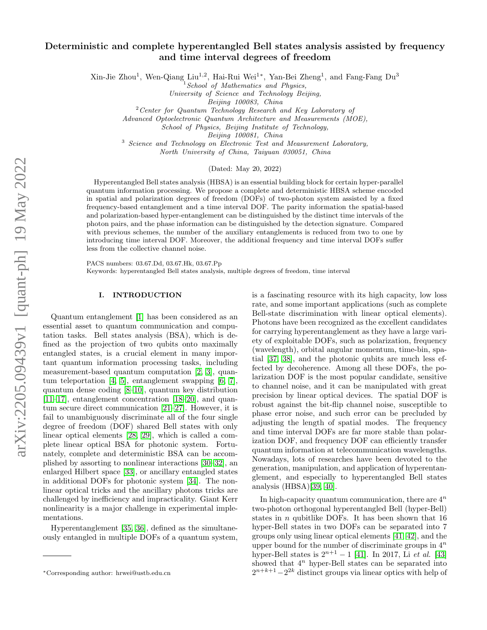# Deterministic and complete hyperentangled Bell states analysis assisted by frequency and time interval degrees of freedom

Xin-Jie Zhou<sup>1</sup>, Wen-Qiang Liu<sup>1,2</sup>, Hai-Rui Wei<sup>1\*</sup>, Yan-Bei Zheng<sup>1</sup>, and Fang-Fang Du<sup>3</sup>

School of Mathematics and Physics,

University of Science and Technology Beijing,

Beijing 100083, China

 $2$  Center for Quantum Technology Research and Key Laboratory of

Advanced Optoelectronic Quantum Architecture and Measurements (MOE),

School of Physics, Beijing Institute of Technology,

Beijing 100081, China

<sup>3</sup> Science and Technology on Electronic Test and Measurement Laboratory,

North University of China, Taiyuan 030051, China

## (Dated: May 20, 2022)

Hyperentangled Bell states analysis (HBSA) is an essential building block for certain hyper-parallel quantum information processing. We propose a complete and deterministic HBSA scheme encoded in spatial and polarization degrees of freedom (DOFs) of two-photon system assisted by a fixed frequency-based entanglement and a time interval DOF. The parity information the spatial-based and polarization-based hyper-entanglement can be distinguished by the distinct time intervals of the photon pairs, and the phase information can be distinguished by the detection signature. Compared with previous schemes, the number of the auxiliary entanglements is reduced from two to one by introducing time interval DOF. Moreover, the additional frequency and time interval DOFs suffer less from the collective channel noise.

PACS numbers: 03.67.Dd, 03.67.Hk, 03.67.Pp

Keywords: hyperentangled Bell states analysis, multiple degrees of freedom, time interval

#### I. INTRODUCTION

Quantum entanglement [\[1\]](#page-5-0) has been considered as an essential asset to quantum communication and computation tasks. Bell states analysis (BSA), which is defined as the projection of two qubits onto maximally entangled states, is a crucial element in many important quantum information processing tasks, including measurement-based quantum computation [\[2,](#page-5-1) [3\]](#page-5-2), quantum teleportation [\[4,](#page-5-3) [5\]](#page-5-4), entanglement swapping [\[6,](#page-6-0) [7\]](#page-6-1), quantum dense coding [\[8](#page-6-2)[–10\]](#page-6-3), quantum key distribution [\[11–](#page-6-4)[17\]](#page-6-5), entanglement concentration [\[18–](#page-6-6)[20\]](#page-6-7), and quantum secure direct communication [\[21–](#page-6-8)[27\]](#page-6-9). However, it is fail to unambiguously discriminate all of the four single degree of freedom (DOF) shared Bell states with only linear optical elements [\[28,](#page-6-10) [29\]](#page-6-11), which is called a complete linear optical BSA for photonic system. Fortunately, complete and deterministic BSA can be accomplished by assorting to nonlinear interactions [\[30–](#page-6-12)[32\]](#page-6-13), an enlarged Hilbert space [\[33\]](#page-6-14), or ancillary entangled states in additional DOFs for photonic system [\[34\]](#page-6-15). The nonlinear optical tricks and the ancillary photons tricks are challenged by inefficiency and impracticality. Giant Kerr nonlinearity is a major challenge in experimental implementations.

Hyperentanglement [\[35,](#page-6-16) [36\]](#page-6-17), defined as the simultaneously entangled in multiple DOFs of a quantum system, is a fascinating resource with its high capacity, low loss rate, and some important applications (such as complete Bell-state discrimination with linear optical elements). Photons have been recognized as the excellent candidates for carrying hyperentanglement as they have a large variety of exploitable DOFs, such as polarization, frequency (wavelength), orbital angular momentum, time-bin, spatial [\[37,](#page-6-18) [38\]](#page-6-19), and the photonic qubits are much less effected by decoherence. Among all these DOFs, the polarization DOF is the most popular candidate, sensitive to channel noise, and it can be manipulated with great precision by linear optical devices. The spatial DOF is robust against the bit-flip channel noise, susceptible to phase error noise, and such error can be precluded by adjusting the length of spatial modes. The frequency and time interval DOFs are far more stable than polarization DOF, and frequency DOF can efficiently transfer quantum information at telecommunication wavelengths. Nowadays, lots of researches have been devoted to the generation, manipulation, and application of hyperentanglement, and especially to hyperentangled Bell states analysis (HBSA)[\[39,](#page-6-20) [40\]](#page-6-21).

In high-capacity quantum communication, there are  $4^n$ two-photon orthogonal hyperentangled Bell (hyper-Bell) states in *n* qubitlike DOFs. It has been shown that  $16$ hyper-Bell states in two DOFs can be separated into 7 groups only using linear optical elements [\[41,](#page-6-22) [42\]](#page-6-23), and the upper bound for the number of discriminate groups in  $4^n$ hyper-Bell states is  $2^{n+1} - 1$  [\[41\]](#page-6-22). In 2017, Li *et al.* [\[43\]](#page-6-24) showed that  $4^n$  hyper-Bell states can be separated into  $2^{n+k+1}-2^{2k}$  distinct groups via linear optics with help of

<sup>∗</sup>Corresponding author: hrwei@ustb.edu.cn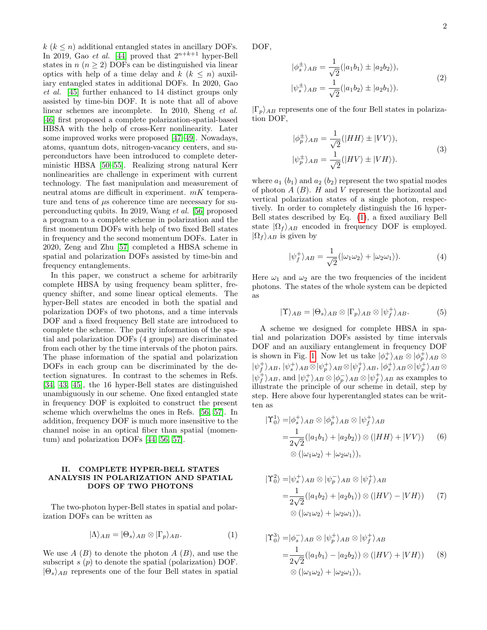$k$  ( $k \leq n$ ) additional entangled states in ancillary DOFs. In 2019, Gao et al. [\[44\]](#page-7-0) proved that  $2^{n+k+1}$  hyper-Bell states in  $n (n \geq 2)$  DOFs can be distinguished via linear optics with help of a time delay and  $k$   $(k \leq n)$  auxiliary entangled states in additional DOFs. In 2020, Gao et al. [\[45\]](#page-7-1) further enhanced to 14 distinct groups only assisted by time-bin DOF. It is note that all of above linear schemes are incomplete. In 2010, Sheng *et al.* [\[46\]](#page-7-2) first proposed a complete polarization-spatial-based HBSA with the help of cross-Kerr nonlinearity. Later some improved works were proposed [\[47–](#page-7-3)[49\]](#page-7-4). Nowadays, atoms, quantum dots, nitrogen-vacancy centers, and superconductors have been introduced to complete deterministic HBSA [\[50–](#page-7-5)[55\]](#page-7-6). Realizing strong natural Kerr nonlinearities are challenge in experiment with current technology. The fast manipulation and measurement of neutral atoms are difficult in experiment.  $mK$  temperature and tens of  $\mu$ s coherence time are necessary for superconducting qubits. In 2019, Wang et al. [\[56\]](#page-7-7) proposed a program to a complete scheme in polarization and the first momentum DOFs with help of two fixed Bell states in frequency and the second momentum DOFs. Later in 2020, Zeng and Zhu [\[57\]](#page-7-8) completed a HBSA scheme in spatial and polarization DOFs assisted by time-bin and frequency entanglements.

In this paper, we construct a scheme for arbitrarily complete HBSA by using frequency beam splitter, frequency shifter, and some linear optical elements. The hyper-Bell states are encoded in both the spatial and polarization DOFs of two photons, and a time intervals DOF and a fixed frequency Bell state are introduced to complete the scheme. The parity information of the spatial and polarization DOFs (4 groups) are discriminated from each other by the time intervals of the photon pairs. The phase information of the spatial and polarization DOFs in each group can be discriminated by the detection signatures. In contrast to the schemes in Refs. [\[34,](#page-6-15) [43,](#page-6-24) [45\]](#page-7-1), the 16 hyper-Bell states are distinguished unambiguously in our scheme. One fixed entangled state in frequency DOF is exploited to construct the present scheme which overwhelms the ones in Refs. [\[56,](#page-7-7) [57\]](#page-7-8). In addition, frequency DOF is much more insensitive to the channel noise in an optical fiber than spatial (momentum) and polarization DOFs [\[44,](#page-7-0) [56,](#page-7-7) [57\]](#page-7-8).

## II. COMPLETE HYPER-BELL STATES ANALYSIS IN POLARIZATION AND SPATIAL DOFS OF TWO PHOTONS

The two-photon hyper-Bell states in spatial and polarization DOFs can be written as

<span id="page-1-0"></span>
$$
|\Lambda\rangle_{AB} = |\Theta_s\rangle_{AB} \otimes |\Gamma_p\rangle_{AB}.\tag{1}
$$

We use  $A(B)$  to denote the photon  $A(B)$ , and use the subscript  $s(p)$  to denote the spatial (polarization) DOF.  $|\Theta_s\rangle_{AB}$  represents one of the four Bell states in spatial

DOF,

$$
|\phi_s^{\pm}\rangle_{AB} = \frac{1}{\sqrt{2}} (|a_1b_1\rangle \pm |a_2b_2\rangle),
$$
  

$$
|\psi_s^{\pm}\rangle_{AB} = \frac{1}{\sqrt{2}} (|a_1b_2\rangle \pm |a_2b_1\rangle).
$$
 (2)

 $|\Gamma_p\rangle_{AB}$  represents one of the four Bell states in polarization DOF,

$$
|\phi_p^{\pm}\rangle_{AB} = \frac{1}{\sqrt{2}}(|HH\rangle \pm |VV\rangle),
$$
  

$$
|\psi_p^{\pm}\rangle_{AB} = \frac{1}{\sqrt{2}}(|HV\rangle \pm |VH\rangle).
$$
 (3)

where  $a_1$  ( $b_1$ ) and  $a_2$  ( $b_2$ ) represent the two spatial modes of photon  $A(B)$ . H and V represent the horizontal and vertical polarization states of a single photon, respectively. In order to completely distinguish the 16 hyper-Bell states described by Eq. [\(1\)](#page-1-0), a fixed auxiliary Bell state  $|\Omega_f\rangle_{AB}$  encoded in frequency DOF is employed.  $|\Omega_f\rangle_{AB}$  is given by

$$
|\psi_f^+\rangle_{AB} = \frac{1}{\sqrt{2}} (|\omega_1 \omega_2\rangle + |\omega_2 \omega_1\rangle). \tag{4}
$$

Here  $\omega_1$  and  $\omega_2$  are the two frequencies of the incident photons. The states of the whole system can be depicted as

$$
|\Upsilon\rangle_{AB} = |\Theta_s\rangle_{AB} \otimes |\Gamma_p\rangle_{AB} \otimes |\psi_f^+\rangle_{AB}.
$$
 (5)

A scheme we designed for complete HBSA in spatial and polarization DOFs assisted by time intervals DOF and an auxiliary entanglement in frequency DOF is shown in Fig. [1.](#page-2-0) Now let us take  $|\phi_s^+\rangle_{AB} \otimes |\phi_p^+\rangle_{AB} \otimes$  $|\psi_f^+\rangle_{AB}, |\psi_s^+\rangle_{AB}\otimes|\psi_f^+\rangle_{AB}, |\phi_s^+\rangle_{AB}\otimes|\psi_p^+\rangle_{AB}\otimes$  $|\psi_f^+\rangle_{AB}$ , and  $|\psi_s^+\rangle_{AB} \otimes |\phi_p^-\rangle_{AB} \otimes |\psi_f^+\rangle_{AB}$  as examples to illustrate the principle of our scheme in detail, step by step. Here above four hyperentangled states can be written as

<span id="page-1-1"></span>
$$
\begin{aligned} |\Upsilon_0^1\rangle =& |\phi_s^+\rangle_{AB}\otimes|\phi_p^+\rangle_{AB}\otimes|\psi_f^+\rangle_{AB} \\ =&\frac{1}{2\sqrt{2}}(|a_1b_1\rangle+|a_2b_2\rangle)\otimes(|HH\rangle+|VV\rangle) \qquad (6) \\ &\otimes(|\omega_1\omega_2\rangle+|\omega_2\omega_1\rangle), \end{aligned}
$$

$$
\begin{aligned} |\Upsilon_0^2\rangle =& |\psi_s^+\rangle_{AB}\otimes|\psi_p^-\rangle_{AB}\otimes|\psi_f^+\rangle_{AB} \\ =&\frac{1}{2\sqrt{2}}(|a_1b_2\rangle+|a_2b_1\rangle)\otimes(|HV\rangle-|VH\rangle) \qquad (7) \\ &\otimes(|\omega_1\omega_2\rangle+|\omega_2\omega_1\rangle), \end{aligned}
$$

$$
|\Upsilon_0^3\rangle = |\phi_s^- \rangle_{AB} \otimes |\psi_p^+ \rangle_{AB} \otimes |\psi_f^+ \rangle_{AB}
$$
  
= 
$$
\frac{1}{2\sqrt{2}} (|a_1 b_1 \rangle - |a_2 b_2 \rangle) \otimes (|HV\rangle + |VH\rangle)
$$
 (8)  

$$
\otimes (|\omega_1 \omega_2 \rangle + |\omega_2 \omega_1 \rangle),
$$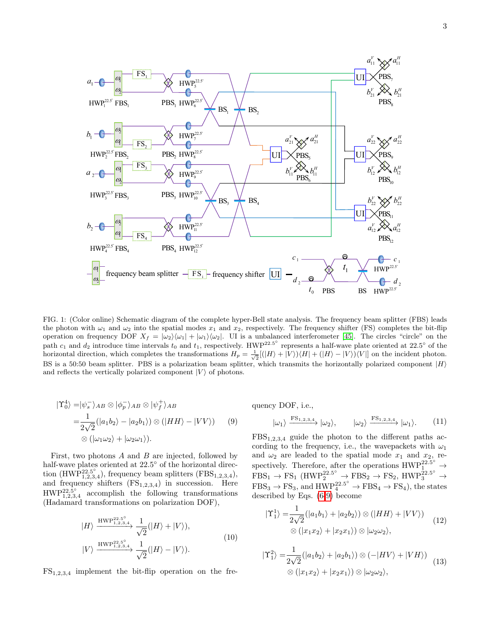

<span id="page-2-0"></span>FIG. 1: (Color online) Schematic diagram of the complete hyper-Bell state analysis. The frequency beam splitter (FBS) leads the photon with  $\omega_1$  and  $\omega_2$  into the spatial modes  $x_1$  and  $x_2$ , respectively. The frequency shifter (FS) completes the bit-flip operation on frequency DOF  $X_f = |\omega_2\rangle\langle\omega_1| + |\omega_1\rangle\langle\omega_2|$ . UI is a unbalanced interferometer [\[45\]](#page-7-1). The circles "circle" on the path  $c_1$  and  $d_2$  introduce time intervals  $t_0$  and  $t_1$ , respectively. HWP<sup>22.5°</sup> represents a half-wave plate oriented at 22.5° of the horizontal direction, which completes the transformations  $H_p = \frac{1}{\sqrt{2}}[(|H\rangle + |V\rangle)\langle H| + (|H\rangle - |V\rangle)\langle V|]$  on the incident photon. BS is a 50:50 beam splitter. PBS is a polarization beam splitter, which transmits the horizontally polarized component  $|H\rangle$ and reflects the vertically polarized component  $|V\rangle$  of photons.

<span id="page-2-1"></span>
$$
\begin{aligned} |\Upsilon_0^4\rangle =& |\psi_s^- \rangle_{AB} \otimes |\phi_p^- \rangle_{AB} \otimes |\psi_f^+ \rangle_{AB} \\ =& \frac{1}{2\sqrt{2}} (|a_1 b_2 \rangle - |a_2 b_1 \rangle) \otimes (|HH \rangle - |VV \rangle) \qquad (9) \\ &\otimes (|\omega_1 \omega_2 \rangle + |\omega_2 \omega_1 \rangle). \end{aligned}
$$

First, two photons A and B are injected, followed by half-wave plates oriented at 22.5° of the horizontal direction (HWP<sup>22.5°</sup><sub>1,2,3,4</sub>), frequency beam splitters (FBS<sub>1,2,3,4</sub>), and frequency shifters  $(FS_{1,2,3,4})$  in succession. Here  $HWP_{1,2,3,4}^{22.5^{\circ}}$  accomplish the following transformations (Hadamard transformations on polarization DOF),

$$
|H\rangle \xrightarrow{\text{HWP}^{22.5^{\circ}}_{1,2,3,4}} \frac{1}{\sqrt{2}}(|H\rangle + |V\rangle),
$$
  

$$
|V\rangle \xrightarrow{\text{HWP}^{22.5^{\circ}}_{1,2,3,4}} \frac{1}{\sqrt{2}}(|H\rangle - |V\rangle).
$$
 (10)

 $FS_{1,2,3,4}$  implement the bit-flip operation on the fre-

quency DOF, i.e.,

$$
|\omega_1\rangle \xrightarrow{\text{FS}_{1,2,3,4}} |\omega_2\rangle, \qquad |\omega_2\rangle \xrightarrow{\text{FS}_{1,2,3,4}} |\omega_1\rangle. \tag{11}
$$

 $FBS_{1,2,3,4}$  guide the photon to the different paths according to the frequency, i.e., the wavepackets with  $\omega_1$ and  $\omega_2$  are leaded to the spatial mode  $x_1$  and  $x_2$ , respectively. Therefore, after the operations  $\text{HWP}_1^{22.5^\circ} \rightarrow$  $FBS_1 \rightarrow FS_1$  (HWP<sup>22.5°</sup>  $\rightarrow FBS_2 \rightarrow FS_2$ , HWP<sup>22.5°</sup>  $\rightarrow$  $FBS_3 \rightarrow FS_3$ , and  $HWP_4^{22.5^\circ} \rightarrow FBS_4 \rightarrow FS_4$ ), the states described by Eqs. [\(6](#page-1-1)[-9\)](#page-2-1) become

<span id="page-2-2"></span>
$$
|\Upsilon_1^1\rangle = \frac{1}{2\sqrt{2}} (|a_1b_1\rangle + |a_2b_2\rangle) \otimes (|HH\rangle + |VV\rangle)
$$
  

$$
\otimes (|x_1x_2\rangle + |x_2x_1\rangle) \otimes |\omega_2\omega_2\rangle,
$$
 (12)

$$
|\Upsilon_1^2\rangle = \frac{1}{2\sqrt{2}} (|a_1b_2\rangle + |a_2b_1\rangle) \otimes (-|HV\rangle + |VH\rangle)
$$
  

$$
\otimes (|x_1x_2\rangle + |x_2x_1\rangle) \otimes |\omega_2\omega_2\rangle,
$$
 (13)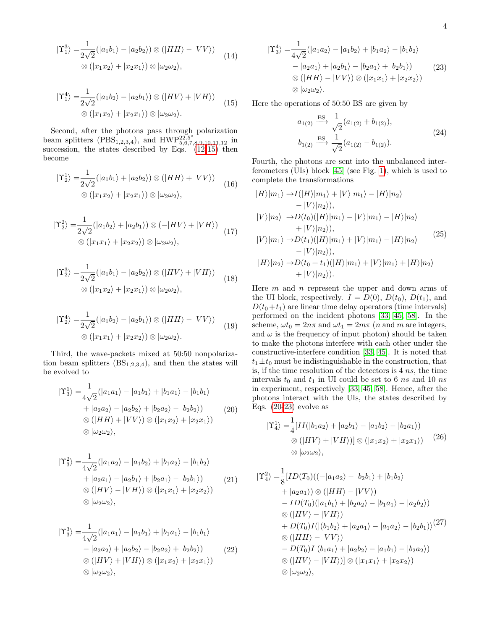$$
|\Upsilon_1^3\rangle = \frac{1}{2\sqrt{2}}(|a_1b_1\rangle - |a_2b_2\rangle) \otimes (|HH\rangle - |VV\rangle)
$$
  

$$
\otimes (|x_1x_2\rangle + |x_2x_1\rangle) \otimes |\omega_2\omega_2\rangle,
$$
 (14)

<span id="page-3-0"></span>
$$
|\Upsilon_1^4\rangle = \frac{1}{2\sqrt{2}} (|a_1b_2\rangle - |a_2b_1\rangle) \otimes (|HV\rangle + |VH\rangle)
$$
  

$$
\otimes (|x_1x_2\rangle + |x_2x_1\rangle) \otimes |\omega_2\omega_2\rangle.
$$
 (15)

Second, after the photons pass through polarization beam splitters (PBS<sub>1,2,3,4</sub>), and HWP<sup>22,5°</sup> in succession, the states described by Eqs.  $(12-15)$  $(12-15)$  then become

$$
|\Upsilon_2^1\rangle = \frac{1}{2\sqrt{2}} (|a_1b_1\rangle + |a_2b_2\rangle) \otimes (|HH\rangle + |VV\rangle)
$$
  

$$
\otimes (|x_1x_2\rangle + |x_2x_1\rangle) \otimes |\omega_2\omega_2\rangle,
$$
 (16)

$$
|\Upsilon_2^2\rangle = \frac{1}{2\sqrt{2}} (|a_1 b_2\rangle + |a_2 b_1\rangle) \otimes (-|HV\rangle + |VH\rangle)
$$
  

$$
\otimes (|x_1 x_1\rangle + |x_2 x_2\rangle) \otimes |\omega_2 \omega_2\rangle,
$$
 (17)

$$
|\Upsilon_2^3\rangle = \frac{1}{2\sqrt{2}} (|a_1b_1\rangle - |a_2b_2\rangle) \otimes (|HV\rangle + |VH\rangle)
$$
  

$$
\otimes (|x_1x_2\rangle + |x_2x_1\rangle) \otimes |\omega_2\omega_2\rangle,
$$
 (18)

$$
|\Upsilon_2^4\rangle = \frac{1}{2\sqrt{2}} (|a_1 b_2\rangle - |a_2 b_1\rangle) \otimes (|HH\rangle - |VV\rangle)
$$
  

$$
\otimes (|x_1 x_1\rangle + |x_2 x_2\rangle) \otimes |\omega_2 \omega_2\rangle.
$$
 (19)

Third, the wave-packets mixed at 50:50 nonpolarization beam splitters  $(BS_{1,2,3,4})$ , and then the states will be evolved to

<span id="page-3-1"></span>
$$
|\Upsilon_3^1\rangle = \frac{1}{4\sqrt{2}}(|a_1a_1\rangle - |a_1b_1\rangle + |b_1a_1\rangle - |b_1b_1\rangle
$$
  
+  $|a_2a_2\rangle - |a_2b_2\rangle + |b_2a_2\rangle - |b_2b_2\rangle)$  (20)  

$$
\otimes (|HH\rangle + |VV\rangle) \otimes (|x_1x_2\rangle + |x_2x_1\rangle)
$$
  

$$
\otimes |\omega_2\omega_2\rangle,
$$

$$
|\Upsilon_3^2\rangle = \frac{1}{4\sqrt{2}} (|a_1 a_2\rangle - |a_1 b_2\rangle + |b_1 a_2\rangle - |b_1 b_2\rangle
$$
  
+  $|a_2 a_1\rangle - |a_2 b_1\rangle + |b_2 a_1\rangle - |b_2 b_1\rangle)$  (21)  

$$
\otimes (|HV\rangle - |VH\rangle) \otimes (|x_1 x_1\rangle + |x_2 x_2\rangle)
$$
  

$$
\otimes |\omega_2 \omega_2\rangle,
$$

$$
|\Upsilon_3^3\rangle = \frac{1}{4\sqrt{2}} (|a_1 a_1\rangle - |a_1 b_1\rangle + |b_1 a_1\rangle - |b_1 b_1\rangle
$$
  
\n
$$
- |a_2 a_2\rangle + |a_2 b_2\rangle - |b_2 a_2\rangle + |b_2 b_2\rangle)
$$
  
\n
$$
\otimes (|HV\rangle + |VH\rangle) \otimes (|x_1 x_2\rangle + |x_2 x_1\rangle)
$$
  
\n
$$
\otimes |\omega_2 \omega_2\rangle,
$$
 (22)

<span id="page-3-2"></span>
$$
\begin{aligned} \left|\Upsilon_3^4\right\rangle &= \frac{1}{4\sqrt{2}} (\left|a_1 a_2\right\rangle - \left|a_1 b_2\right\rangle + \left|b_1 a_2\right\rangle - \left|b_1 b_2\right\rangle \\ &- \left|a_2 a_1\right\rangle + \left|a_2 b_1\right\rangle - \left|b_2 a_1\right\rangle + \left|b_2 b_1\right\rangle) \\ &\otimes (\left|HH\right\rangle - \left|VV\right\rangle) \otimes (\left|x_1 x_1\right\rangle + \left|x_2 x_2\right\rangle) \\ &\otimes \left|\omega_2 \omega_2\right\rangle. \end{aligned} \tag{23}
$$

Here the operations of 50:50 BS are given by

$$
a_{1(2)} \xrightarrow{\text{BS}} \frac{1}{\sqrt{2}} (a_{1(2)} + b_{1(2)}),
$$
  
\n
$$
b_{1(2)} \xrightarrow{\text{BS}} \frac{1}{\sqrt{2}} (a_{1(2)} - b_{1(2)}).
$$
\n(24)

Fourth, the photons are sent into the unbalanced interferometers (UIs) block [\[45\]](#page-7-1) (see Fig. [1\)](#page-2-0), which is used to complete the transformations

$$
|H\rangle|m_{1}\rangle \rightarrow I(|H\rangle|m_{1}\rangle + |V\rangle|m_{1}\rangle - |H\rangle|n_{2}\rangle
$$
  
\n
$$
-|V\rangle|n_{2}\rangle),
$$
  
\n
$$
|V\rangle|n_{2}\rangle \rightarrow D(t_{0})(|H\rangle|m_{1}\rangle - |V\rangle|m_{1}\rangle - |H\rangle|n_{2}\rangle
$$
  
\n
$$
+|V\rangle|n_{2}\rangle),
$$
  
\n
$$
|V\rangle|m_{1}\rangle \rightarrow D(t_{1})(|H\rangle|m_{1}\rangle + |V\rangle|m_{1}\rangle - |H\rangle|n_{2}\rangle
$$
  
\n
$$
-|V\rangle|n_{2}\rangle),
$$
  
\n
$$
|H\rangle|n_{2}\rangle \rightarrow D(t_{0} + t_{1})(|H\rangle|m_{1}\rangle + |V\rangle|m_{1}\rangle + |H\rangle|n_{2}\rangle
$$
  
\n
$$
+ |V\rangle|n_{2}\rangle).
$$
 (25)

Here  $m$  and  $n$  represent the upper and down arms of the UI block, respectively.  $I = D(0), D(t_0), D(t_1)$ , and  $D(t_0+t_1)$  are linear time delay operators (time intervals) performed on the incident photons [\[33,](#page-6-14) [45,](#page-7-1) [58\]](#page-7-9). In the scheme,  $\omega t_0 = 2n\pi$  and  $\omega t_1 = 2m\pi$  (*n* and *m* are integers, and  $\omega$  is the frequency of input photon) should be taken to make the photons interfere with each other under the constructive-interfere condition [\[33,](#page-6-14) [45\]](#page-7-1). It is noted that  $t_1 \pm t_0$  must be indistinguishable in the construction, that is, if the time resolution of the detectors is  $4ns$ , the time intervals  $t_0$  and  $t_1$  in UI could be set to 6 ns and 10 ns in experiment, respectively [\[33,](#page-6-14) [45,](#page-7-1) [58\]](#page-7-9). Hence, after the photons interact with the UIs, the states described by Eqs.  $(20-23)$  $(20-23)$  evolve as

$$
|\Upsilon_4^1\rangle = \frac{1}{4} [II(|b_1 a_2\rangle + |a_2 b_1\rangle - |a_1 b_2\rangle - |b_2 a_1\rangle)
$$
  
\n
$$
\otimes (|HV\rangle + |VH\rangle)] \otimes (|x_1 x_2\rangle + |x_2 x_1\rangle) \qquad (26)
$$
  
\n
$$
\otimes |\omega_2 \omega_2\rangle,
$$

1

$$
|\Upsilon_4^2\rangle = \frac{1}{8} [ID(T_0)((-|a_1a_2\rangle - |b_2b_1\rangle + |b_1b_2\rangle + |a_2a_1\rangle) \otimes (|HH\rangle - |VV\rangle) - ID(T_0)(|a_1b_1\rangle + |b_2a_2\rangle - |b_1a_1\rangle - |a_2b_2\rangle) \otimes (|HV\rangle - |VH\rangle) + D(T_0)I(|(b_1b_2\rangle + |a_2a_1\rangle - |a_1a_2\rangle - |b_2b_1\rangle)^{(27)} \otimes (|HH\rangle - |VV\rangle) - D(T_0)I|(b_1a_1\rangle + |a_2b_2\rangle - |a_1b_1\rangle - |b_2a_2\rangle) \otimes (|HV\rangle - |VH\rangle)] \otimes (|x_1x_1\rangle + |x_2x_2\rangle) \otimes |\omega_2\omega_2\rangle,
$$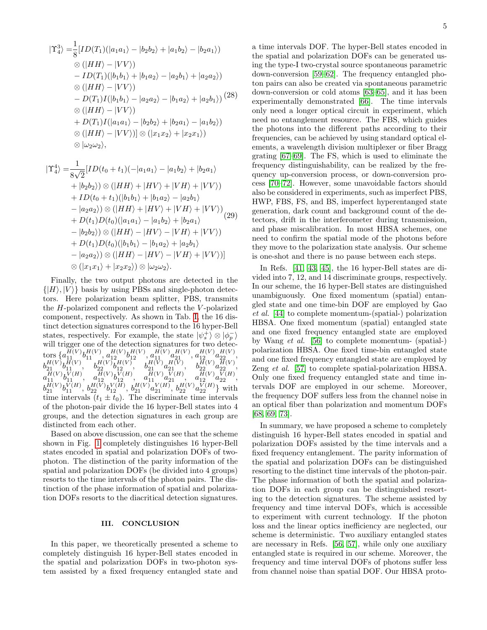$$
|\Upsilon_4^3\rangle = \frac{1}{8} [ID(T_1)(|a_1a_1\rangle - |b_2b_2\rangle + |a_1b_2\rangle - |b_2a_1\rangle)
$$
  
\n
$$
\otimes (|HH\rangle - |VV\rangle)
$$
  
\n
$$
- ID(T_1)(|b_1b_1\rangle + |b_1a_2\rangle - |a_2b_1\rangle + |a_2a_2\rangle)
$$
  
\n
$$
\otimes (|HH\rangle - |VV\rangle)
$$
  
\n
$$
- D(T_1)I(|b_1b_1\rangle - |a_2a_2\rangle - |b_1a_2\rangle + |a_2b_1\rangle) (28)
$$
  
\n
$$
\otimes (|HH\rangle - |VV\rangle)
$$
  
\n
$$
+ D(T_1)I(|a_1a_1\rangle - |b_2b_2\rangle + |b_2a_1\rangle - |a_1b_2\rangle)
$$
  
\n
$$
\otimes (|HH\rangle - |VV\rangle)] \otimes (|x_1x_2\rangle + |x_2x_1\rangle)
$$
  
\n
$$
\otimes |\omega_2\omega_2\rangle,
$$

$$
|\Upsilon_4^4\rangle = \frac{1}{8\sqrt{2}} [ID(t_0 + t_1)(-|a_1a_1\rangle - |a_1b_2\rangle + |b_2a_1\rangle + |b_2b_2\rangle) \otimes (|HH\rangle + |HV\rangle + |VH\rangle + |VV\rangle) + ID(t_0 + t_1)(|b_1b_1\rangle + |b_1a_2\rangle - |a_2b_1\rangle - |a_2a_2\rangle) \otimes (|HH\rangle + |HV\rangle + |VH\rangle + |VV\rangle) + D(t_1)D(t_0)(|a_1a_1\rangle - |a_1b_2\rangle + |b_2a_1\rangle - |b_2b_2\rangle) \otimes (|HH\rangle - |HV\rangle - |VH\rangle + |VV\rangle) + D(t_1)D(t_0)(|b_1b_1\rangle - |b_1a_2\rangle + |a_2b_1\rangle - |a_2a_2\rangle) \otimes (|HH\rangle - |HV\rangle - |VH\rangle + |VV\rangle)] \otimes (|x_1x_1\rangle + |x_2x_2\rangle) \otimes |\omega_2\omega_2\rangle.
$$

Finally, the two output photons are detected in the  $\{|H\rangle, |V\rangle\}$  basis by using PBSs and single-photon detectors. Here polarization beam splitter, PBS, transmits the H-polarized component and reflects the V -polarized component, respectively. As shown in Tab. [I,](#page-5-5) the 16 distinct detection signatures correspond to the 16 hyper-Bell states, respectively. For example, the state  $|\psi_s^+\rangle \otimes |\phi_p^-\rangle$ will trigger one of the detection signatures for two detec- ${\rm tors}\left\{a^{H(V)}_{11}b^{H(V)}_{11},a^{H(V)}_{12}b^{H(V)}_{12},a^{H(V)}_{11}a^{H(V)}_{21},a^{H(V)}_{12}a^{H(V)}_{22}\right\},$  $b_{21}^{H(V)}b_{11}^{H(V)},\quad b_{22}^{H(V)}b_{12}^{H(V)},\quad b_{21}^{H(V)}a_{21}^{H(V)},\quad b_{22}^{H(V)}a_{22}^{H(V)},$  $a_{11}^{H(V)}b_{11}^{V(H)}, a_{12}^{H(V)}b_{12}^{V(H)}, a_{11}^{H(V)}a_{21}^{V(H)}, a_{12}^{H(V)}a_{22}^{V(H)},$  $b_{21}^{H(V)}b_{11}^{V(H)}, b_{22}^{H(V)}b_{12}^{V(H)}, b_{21}^{H(V)}a_{21}^{V(H)}, b_{22}^{H(V)}a_{22}^{V(H)}\}$  with  $b_{21}^{H(V)}b_{11}^{V(H)}$ ,  $b_{22}^{H(V)}b_{12}^{V(H)}$ ,  $b_{21}^{V(H)}$ ,  $a_{21}^{V(H)}$ ,  $a_{22}^{V(H)}$  and  $a_{22}^{V(H)}$  are time intervals  $(t_1 \pm t_0)$ . The discriminate time intervals of the photon-pair divide the 16 hyper-Bell states into 4 groups, and the detection signatures in each group are distincted from each other.

Based on above discussion, one can see that the scheme shown in Fig. [1](#page-2-0) completely distinguishes 16 hyper-Bell states encoded in spatial and polarization DOFs of twophoton. The distinction of the parity information of the spatial and polarization DOFs (be divided into 4 groups) resorts to the time intervals of the photon pairs. The distinction of the phase information of spatial and polarization DOFs resorts to the diacritical detection signatures.

## III. CONCLUSION

In this paper, we theoretically presented a scheme to completely distinguish 16 hyper-Bell states encoded in the spatial and polarization DOFs in two-photon system assisted by a fixed frequency entangled state and a time intervals DOF. The hyper-Bell states encoded in the spatial and polarization DOFs can be generated using the type-I two-crystal source spontaneous parametric down-conversion [\[59–](#page-7-10)[62\]](#page-7-11). The frequency entangled photon pairs can also be created via spontaneous parametric down-conversion or cold atoms [\[63–](#page-7-12)[65\]](#page-7-13), and it has been experimentally demonstrated [\[66\]](#page-7-14). The time intervals only need a longer optical circuit in experiment, which need no entanglement resource. The FBS, which guides the photons into the different paths according to their frequencies, can be achieved by using standard optical elements, a wavelength division multiplexer or fiber Bragg grating [\[67](#page-7-15)[–69\]](#page-7-16). The FS, which is used to eliminate the frequency distinguishability, can be realized by the frequency up-conversion process, or down-conversion process [\[70](#page-7-17)[–72\]](#page-7-18). However, some unavoidable factors should also be considered in experiments, such as imperfect PBS, HWP, FBS, FS, and BS, imperfect hyperentanged state generation, dark count and background count of the detectors, drift in the interferometer during transmission, and phase miscalibration. In most HBSA schemes, one need to confirm the spatial mode of the photons before they move to the polarization state analysis. Our scheme is one-shot and there is no pause between each steps.

In Refs. [\[41,](#page-6-22) [43,](#page-6-24) [45\]](#page-7-1), the 16 hyper-Bell states are divided into 7, 12, and 14 discriminate groups, respectively. In our scheme, the 16 hyper-Bell states are distinguished unambiguously. One fixed momentum (spatial) entangled state and one time-bin DOF are employed by Gao et al. [\[44\]](#page-7-0) to complete momentum-(spatial-) polarization HBSA. One fixed momentum (spatial) entangled state and one fixed frequency entangled state are employed by Wang et al. [\[56\]](#page-7-7) to complete momentum- (spatial-) polarization HBSA. One fixed time-bin entangled state and one fixed frequency entangled state are employed by Zeng et al. [\[57\]](#page-7-8) to complete spatial-polarization HBSA. Only one fixed frequency entangled state and time intervals DOF are employed in our scheme. Moreover, the frequency DOF suffers less from the channel noise in an optical fiber than polarization and momentum DOFs [\[68,](#page-7-19) [69,](#page-7-16) [73\]](#page-7-20).

In summary, we have proposed a scheme to completely distinguish 16 hyper-Bell states encoded in spatial and polarization DOFs assisted by the time intervals and a fixed frequency entanglement. The parity information of the spatial and polarization DOFs can be distinguished resorting to the distinct time intervals of the photon-pair. The phase information of both the spatial and polarization DOFs in each group can be distinguished resorting to the detection signatures. The scheme assisted by frequency and time interval DOFs, which is accessible to experiment with current technology. If the photon loss and the linear optics inefficiency are neglected, our scheme is deterministic. Two auxiliary entangled states are necessary in Refs. [\[56,](#page-7-7) [57\]](#page-7-8), while only one auxiliary entangled state is required in our scheme. Moreover, the frequency and time interval DOFs of photons suffer less from channel noise than spatial DOF. Our HBSA proto-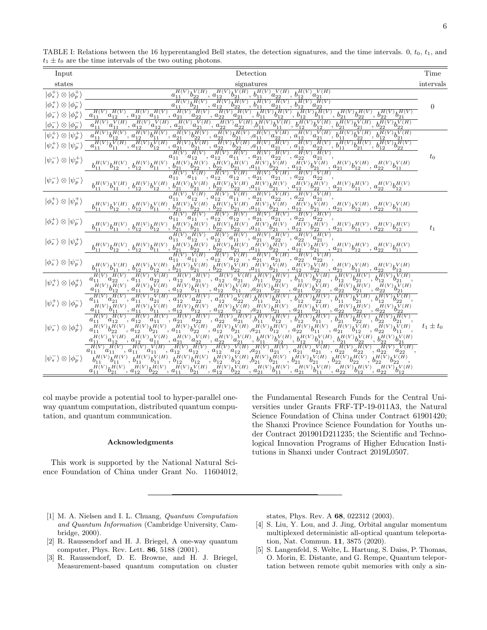| Input                                                                                                                                                       | Detection                                                                                                                                                                                                                                                                                                                                                                                                                                                                                                                                                                                                                                                                                                                                                                                                                                                                                                                                                                                                                                                                                                                                                                                                                                                                                                                                                                                                                                                                                                                                                                                                                   | Time          |
|-------------------------------------------------------------------------------------------------------------------------------------------------------------|-----------------------------------------------------------------------------------------------------------------------------------------------------------------------------------------------------------------------------------------------------------------------------------------------------------------------------------------------------------------------------------------------------------------------------------------------------------------------------------------------------------------------------------------------------------------------------------------------------------------------------------------------------------------------------------------------------------------------------------------------------------------------------------------------------------------------------------------------------------------------------------------------------------------------------------------------------------------------------------------------------------------------------------------------------------------------------------------------------------------------------------------------------------------------------------------------------------------------------------------------------------------------------------------------------------------------------------------------------------------------------------------------------------------------------------------------------------------------------------------------------------------------------------------------------------------------------------------------------------------------------|---------------|
| states                                                                                                                                                      | signatures                                                                                                                                                                                                                                                                                                                                                                                                                                                                                                                                                                                                                                                                                                                                                                                                                                                                                                                                                                                                                                                                                                                                                                                                                                                                                                                                                                                                                                                                                                                                                                                                                  | intervals     |
| $ \phi_s^+\rangle\otimes  \phi_p^+\rangle$<br>$ \phi_s^+\rangle \otimes  \phi_p^-\rangle$<br>$\otimes$ $ \phi_n^+$<br>$\otimes  \phi_p^- $                  | $h^{H(V)}_{12}b^{V(H)}_{21},\,h^{H(V)}_{11}a^{V(H)}_{22},\,h^{H(V)}_{12}a^{V(H)}_{21}$<br>$b_{11}^{H(V)}b_{22}^{V(H)}$<br>$a_{11}$<br>$, a_{12}$<br>$\overline{a^{H(V)}_{12}b^{H(V)}_{22}},$ $\overline{b^{H(V)}_{11}a^{H(V)}_{21}},$ $\overline{b^{H(V)}_{12}a^{H(V)}_{22}}$<br>$a_{11}^{H(V)}b_{21}^{H(V)},$<br>$a_{11}$<br>$, a_{12}$<br>$\frac{H^{(V)}a_{11}^{H(V)}a_{12}^{H(V)}a_{22}^{H(V)}a_{22}^{H(V)}a_{21}^{H(V)}b_{11}^{H(V)}b_{12}^{H(V)}b_{12}^{H(V)}b_{12}^{H(V)}b_{22}^{H(V)}b_{22}^{H(V)}b_{21}^{H(V)}b_{21}^{H(V)}b_{22}^{H(V)}b_{22}^{H(V)}b_{22}^{H(V)}b_{22}^{H(V)}b_{22}^{H(V)}b_{22}^{H(V)}b_{22}^{H(V)}b_{22}^{H(V)}b_{21}^{H(V)}b_{21}^{H(V)}b_{21}$<br>$H(V)$ $H(V)$<br>$a_{12}$<br>$a_{11}$<br>$, a_{12}$<br>$u_{11}^{H(V)} a_{11}^{V(H)},$<br>$a_{11}$<br>$, a_{12}$                                                                                                                                                                                                                                                                                                                                                                                                                                                                                                                                                                                                                                                                                                                                                                                                                             | $\theta$      |
| $\otimes  \psi_p^+ $<br>$\ket{\psi_s^+}\otimes\ket{\psi_p^-}$<br>$ \psi_s^-\rangle \otimes  \psi_p^+\rangle$<br>$ \psi_s^-\rangle \otimes  \psi_p^-\rangle$ | $\frac{H(V)}{a_{21}}\frac{H(V)}{b_{22}}\frac{H(V)}{b_{21}}\frac{H(V)}{a_{22}}\frac{H(V)}{b_{21}}\frac{H(V)}{a_{11}}\frac{H(V)}{a_{22}}\frac{V(H)}{a_{21}}\frac{H(V)}{a_{21}}\frac{V(H)}{a_{21}}\frac{V(H)}{b_{22}}\frac{V(H)}{b_{22}}\frac{V(H)}{b_{22}}\frac{V(H)}{b_{22}}\frac{V(H)}{b_{21}}\frac{V(H)}{b_{22}}\frac{V(H)}{b_{21}}\frac{V(H)}{b_{22}}\frac{V$<br>$h_{11}^{H(V)}h_{12}^{H(V)}$<br>$a_{12}^{H(V)}b_{11}^{H(V)}, a_{21}^{H(V)}b_{22}^{H(V)},$<br>$a_{11}$<br>$^{\prime},\ a_{12}^{\phantom{\dag}}$<br>$\frac{d_{21}}{d_1}\frac{b_{22}}{d_{21}}$<br>$\frac{d_1(V)}{d_{21}}\frac{b_{21}}{b_{21}}$ , $\frac{d_{22}}{d_{22}}$<br>$\frac{d_{22}}{d(V)}$<br>$\overline{h^{H(V)}_{{1\!\! 1}} b^{V(H)}_{{1\!\! 1}}}, \overline{a^{H(V)}_{{1\!\! 2}} b^{V(H)}_{{1\!\! 2}}},$<br>$a_{\rm 11}$<br>$b_{11}^{H(V)}b_{12}^{H(V)},\ b_{12}^{H(V)}b_{11}^{H(V)},\ b_{21}^{H(V)}b_{22}^{H(V)},\ b_{22}^{\tilde{H}(V)}b_{21}^{\tilde{H}(V)}a_{11}^{\tilde{H}(V)}b_{22}^{\tilde{V(H)}},\ a_{12}^{\tilde{H(V)}}b_{21}^{\tilde{V(H)}},\ a_{21}^{H(V)}b_{12}^{V(H)},\ a_{22}^{H(V)}b_{11}^{V(H)}$<br>$\overline{H^{(V)}_{12}a^{V(H)}_{12}}, \, \overline{a^{H(V)}_{21}a^{V(H)}_{21}}, \, \overline{a^{H(V)}_{22}a^{V(H)}_{22}}$<br>$a_{11}^{H(V)}a_{11}^{V(H)},$<br>$\frac{H(}{12}$<br>$a_{11}$<br>$b_{11}^{H(V)}b_{11}^{V(H)},\ b_{12}^{H(V)}b_{12}^{V(H)},\ \bar{b}_{21}^{\bar{H}(V)}\bar{b}_{21}^{\bar{V}(H)},\ \bar{b}_{22}^{\bar{H}(V)}b_{22}^{\bar{V}(H)},\bar{a}_{11}^{\bar{H}(V)}b_{21}^{\bar{H}(V)},\ a_{12}^{\bar{H}(V)}b_{22}^{\bar{H}(V)},\ a_{21}^{H(V)}b_{11}^{\bar{H}(V)},\ a_{22}^{\bar{H}(V)}b_{12}^{\bar{H}(V)}$ | $t_0$         |
| $ \phi_s^+\rangle \otimes  \psi_p^+\rangle$                                                                                                                 | $a_{11}^{H(V)}a_{11}^{V(H)}, a_{21}^{H(V)}a_{22}^{V(H)}, a_{22}^{H(V)}a_{21}^{V(H)},$<br>V(H)<br>H(V)<br>$\,$ , $a_{12}$<br>$a_{12}^{\phantom{\dag}}$<br>$a_{11}$<br>$b_{11}^{H(V)}b_{12}^{V(H)},\ b_{12}^{H(V)}b_{11}^{V(H)},\bar{b}_{21}^{\bar{H}(V)}\bar{b}_{22}^{V(H)},\bar{b}_{22}^{\bar{H}(V)}\bar{b}_{21}^{\bar{V}(H)},\bar{a}_{11}^{\bar{H}(V)}\bar{b}_{22}^{\bar{V}(\bar{H})},\ \bar{a}_{12}^{\bar{H}(V)}\bar{b}_{21}^{V(H)},\ \bar{a}_{21}^{H(V)}\bar{b}_{12}^{V(H)},\ \bar{a}_{22}^{H(V)}\bar{b}_{11}^{V(H)}$                                                                                                                                                                                                                                                                                                                                                                                                                                                                                                                                                                                                                                                                                                                                                                                                                                                                                                                                                                                                                                                                                                    |               |
| $ \phi_s^+\rangle \otimes  \psi_p^-\rangle$                                                                                                                 | $\overline{u^{H(V)}_{12}}\overline{u^{H(V)}_{12}},\,\overline{u^{H(V)}_{21}}\overline{u^{H(V)}_{21}},\,\overline{u^{H(V)}_{22}}\overline{u^{H(V)}_{22}},$<br>H(V)<br>$\frac{1}{12}$ , $a_{12}$<br>$a_{\rm 11}$<br>$a_{\rm 11}$<br>$b_{11}^{H(V)}b_{11}^{H(V)},\ b_{12}^{H(V)}b_{12}^{H(V)},\ b_{21}^{H(V)}b_{21}^{H(V)},\ b_{22}^{H(V)}b_{22}^{\tilde{H}(V)},\ a_{11}^{\tilde{H}(V)}b_{21}^{\tilde{H}(V)},\ a_{12}^{\tilde{H(V)}}b_{22}^{H(V)},\ a_{21}^{H(V)}b_{11}^{H(V)},\ a_{22}^{H(V)}b_{12}^{H(V)}$                                                                                                                                                                                                                                                                                                                                                                                                                                                                                                                                                                                                                                                                                                                                                                                                                                                                                                                                                                                                                                                                                                                   | $t_{1}$       |
| $ \phi_s^-\rangle \otimes  \psi_p^+\rangle$                                                                                                                 | $\frac{H(V)}{H(1)}$ $a_{12}^{H(V)}, a_{12}^{H(V)}$ $a_{11}^{H(V)}, a_{21}^{H(V)}$ $a_{22}^{H(V)}, a_{22}^{H(V)}$ $a_{21}^{H(V)}$<br>$a_{21}$<br>$a_{11}$<br>$\frac{b_{11}^{H(V)}b_{12}^{H(V)},\ b_{12}^{H(V)}b_{11}^{H(V)},\ b_{21}^{H(V)}b_{22}^{H(V)},\ b_{22}^{H(V)}b_{21}^{H(V)},\ a_{11}^{H(V)}b_{22}^{H(V)},\ a_{12}^{H(V)}b_{22}^{H(V)},\ a_{12}^{H(V)}b_{21}^{H(V)},\ a_{21}^{H(V)}b_{12}^{H(V)},\ a_{22}^{H(V)}b_{11}^{H(V)}b_{11}^{H(V)}b_{12}^{H(V)}b_{11}^{H(V)}b_{12}^{H(V)}b_{11}^{H(V)}b_{$                                                                                                                                                                                                                                                                                                                                                                                                                                                                                                                                                                                                                                                                                                                                                                                                                                                                                                                                                                                                                                                                                                                  |               |
| $ \phi_s^{-}\rangle\otimes \psi_p^{-}\rangle$                                                                                                               | $b_{11}^{H(V)}b_{11}^{V(H)},\ b_{12}^{H(V)}b_{12}^{V(H)},\ b_{21}^{H(V)}b_{21}^{V(H)},\ b_{22}^{H(V)}b_{22}^{V(H)},\nonumber\\ a_{11}^{H(V)}b_{21}^{V(H)},\ a_{12}^{H(V)}b_{22}^{V(H)},\ a_{21}^{H(V)}b_{11}^{V(H)},\ a_{22}^{H(V)}b_{12}^{V(H)}$                                                                                                                                                                                                                                                                                                                                                                                                                                                                                                                                                                                                                                                                                                                                                                                                                                                                                                                                                                                                                                                                                                                                                                                                                                                                                                                                                                           |               |
| $ \psi_s^+\rangle\otimes \phi_p^+\rangle$                                                                                                                   | $\overline{h^{H(V)}_{12}}\overline{h^{H(V)}_{21}},\ \overline{h^{H(V)}_{12}}\overline{h^{U(H)}_{21}}\overline{h^{H(V)}_{12}}\overline{h^{H(V)}_{22}}\overline{h^{H(V)}_{11}}\overline{h^{H(V)}_{22}}\overline{h^{H(V)}_{21}}\overline{h^{H(V)}_{21}}\overline{h^{H(V)}_{21}}\overline{h^{V(H)}_{21}},$<br>$a_{11}^{H(V)}a_{22}^{H(V)}, a_{11}^{H(V)}$<br>$\overline{u^{H(V)}_{11}a^{V(H)}_{22}}, \overline{a^{H(V)}_{12}}$<br>$a_{11}$<br>$\bar{h}^{H(V)}_{11}b_{12}^{H(V)},\, a^{H(V)}_{12}b_{12}^{V(H)},\, a^{H(V)}_{12}b_{11}^{H(V)},\, a^{H(V)}_{12}b_{11}^{V(H)},\, a^{H(V)}_{21}b_{22}^{H(V)},\, a^{H(V)}_{21}b_{22}^{V(H)},\, a^{H(V)}_{22}b_{21}^{H(V)},\, a^{H(V)}_{22}b_{21}^{V(H)}$<br>$a_{11}$                                                                                                                                                                                                                                                                                                                                                                                                                                                                                                                                                                                                                                                                                                                                                                                                                                                                                                                  |               |
| $ \psi_s^+\rangle \otimes  \phi_p^-\rangle$                                                                                                                 | $\overline{H_1(V)} \overline{H_2(VH)} \cdot \overline{H_1(V)} \cdot \overline{H_1(V)} \cdot \overline{H_1(V)} \cdot \overline{H_1(V)} \cdot \overline{H_2(V)} \cdot \overline{H_2(V)} \cdot \overline{H_1(V)} \cdot \overline{H_2(V)} \cdot \overline{H_1(V)} \cdot \overline{H_2(V)} \cdot \overline{H_1(V)} \cdot \overline{H_2(V)} \cdot \overline{H_2(V)} \cdot \overline{H_2(V)} \cdot \overline{H_2(V)} \cdot \overline{H_2(V)} \cdot \overline{H_2(V)} \cdot \overline{H_2(V)} \cdot \$<br>$a_{11}^{H(V)}a_{21}^{H(V)},$<br>$a_{11}$<br>$\bar{h}^{H(V)}_{11}b_{11}^{\bar{H}(V)},\ a_{11}^{\bar{H}(V)}b_{11}^{\bar{V}(H)},\ a_{12}^{\bar{H}(V)}b_{12}^{\bar{H}(V)},\ a_{12}^{\bar{H}(V)}b_{12}^{\bar{V}(\bar{H})},\ a_{21}^{\bar{H}(V)}b_{21}^{\bar{H}(V)},\ a_{21}^{\bar{H}(V)}b_{21}^{\bar{V}(\bar{H})},\ a_{22}^{\bar{H}(V)}b_{22}^{\bar{H}(V)},\ a_{22}^{\bar{H}(V)}b_{22}^{\bar{V$<br>$a_{21}^{\overline{H}(V)}a_{22}^{\overline{H}(V)} , a_{22}^{\overline{H}(V)}a_{21}^{\overline{H}(V)} b_{11}^{\overline{H}(V)} b_{12}^{\overline{H}(V)} , b_{12}^{\overline{H}(V)}b_{11}^{\overline{H}(V)} , b_{21}^{\overline{H}(V)}b_{22}^{\overline{H}(V)} , b_{22}^{\overline{H}(V)}b_{21}^{\overline{H}(V)}$<br>$\overline{d^{H(V)}_{12}d^{H(V)}_{11}}, \overline{d^{H(V)}_{21}}$<br>$H(V)$ $H(V)$                                                                                                                                                                                                                                                                                                                     |               |
| $ \psi_s^-\rangle \otimes  \phi_p^+\rangle$                                                                                                                 | $a_{\rm 12}^-$<br>$a_{11}$<br>$\langle$ , $a_{12}\rangle$<br>$\bar{H}^{(V)}_{{1\!\! 11}}b_{12}^{\bar{H}(V)},\,\bar{a}^{\bar{H}(V)}_{{1\!\! 12}}b_{21}^{\bar{H}(V)},\,\bar{a}^{\bar{H}(V)}_{{1\!\! 11}}b_{22}^{\bar{V}H},\,\bar{a}^{\bar{H}(V)}_{{1\!\! 12}}b_{21}^{\bar{V}(\bar{H})},\bar{a}^{\bar{H}(V)}_{{2\!\! 11}}b_{12}^{\bar{H}(\bar{V})},\,\bar{a}^{\bar{H}(V)}_{{2\!\! 22}}b_{11}^{\bar{$<br>$a_{11}^-$<br>$\label{eq:11} \begin{array}{l} \ ^{H(V)}\!\!\!\!a^{V(H)}_{11},\ \ a^{H(V)}_{12},\ \ a^{H(V)}_{12}a^{V(H)}_{11},\ \ a^{H(V)}_{21},\ \ a^{H(V)}_{22},\ \ a^{H(V)}_{22}a^{V(H)}_{21},\ \ b^{H(V)}_{11}b^{V(H)}_{12},\ \ b^{H(V)}_{12}b^{V(H)}_{11},\ \ b^{H(V)}_{21}b^{V(H)}_{22},\ \ b^{H(V)}_{22}b^{V(H)}_{21} \end{array}$<br>$a_{12}^{H(V)}a_{12}^{H(V)},\, a_{12}^{H(V)}a_{12}^{V(H)}, a_{21}^{H(V)}a_{21}^{H(V)},\, a_{21}^{H(V)}a_{21}^{V(H)},\, a_{22}^{H(V)}$<br>$H(V)$ $H(V)$<br>H(V) V(H)<br>$H(V)$ <sub>o</sub> $H(V)$<br>$H(V)$ , $V(H)$                                                                                                                                                                                                                                                                                                                                                                                                                                                                                                                                                                                                                                                      | $t_1 \pm t_0$ |
| $ \psi_s^-\rangle \otimes  \phi_p^-\rangle$                                                                                                                 | $\frac{1}{2}$ , $a_{11}$<br>$a_{11}$<br>$\,$ , $a_{12}$<br>$a_{11}$<br>$a_{11}$<br>$a_{22}$<br>$a_{22}$<br>$, u_{22}$<br>$b_{11}^{H(V)}b_{11}^{H(V)},\\ b_{11}^{H(V)}, b_{11}^{H(V)}b_{11}^{V(H)}, b_{12}^{H(V)}b_{12}^{H(V)}, b_{12}^{H(V)}b_{12}^{V(H)}, b_{21}^{H(V)}b_{21}^{H(V)},\\ b_{21}^{H(V)}b_{21}^{V(H)}, b_{22}^{H(V)}b_{22}^{H(V)}, b_{22}^{H(V)}b_{22}^{H(V)},\\ b_{11}^{H(V)}b_{21}^{H(V)}, a_{12}^{H(V)}b_{22}^{H(V)}, a_{11}^{H(V)}b_{21}^{V(H)}, a_{12}^{H(V)}b$<br>$a_{11}$                                                                                                                                                                                                                                                                                                                                                                                                                                                                                                                                                                                                                                                                                                                                                                                                                                                                                                                                                                                                                                                                                                                              |               |

<span id="page-5-5"></span>TABLE I: Relations between the 16 hyperentangled Bell states, the detection signatures, and the time intervals.  $0, t_0, t_1$ , and  $t_1 \pm t_0$  are the time intervals of the two outing photons.

col maybe provide a potential tool to hyper-parallel oneway quantum computation, distributed quantum computation, and quantum communication.

#### Acknowledgments

This work is supported by the National Natural Science Foundation of China under Grant No. 11604012,

the Fundamental Research Funds for the Central Universities under Grants FRF-TP-19-011A3, the Natural Science Foundation of China under Contract 61901420; the Shanxi Province Science Foundation for Youths under Contract 201901D211235; the Scientific and Technological Innovation Programs of Higher Education Institutions in Shanxi under Contract 2019L0507.

- <span id="page-5-0"></span>[1] M. A. Nielsen and I. L. Chuang, Quantum Computation and Quantum Information (Cambridge University, Cambridge, 2000).
- <span id="page-5-1"></span>[2] R. Raussendorf and H. J. Briegel, A one-way quantum computer, Phys. Rev. Lett. 86, 5188 (2001).
- <span id="page-5-2"></span>[3] R. Raussendorf, D. E. Browne, and H. J. Briegel, Measurement-based quantum computation on cluster

states, Phys. Rev. A 68, 022312 (2003).

- <span id="page-5-3"></span>[4] S. Liu, Y. Lou, and J. Jing, Orbital angular momentum multiplexed deterministic all-optical quantum teleportation, Nat. Commun. 11, 3875 (2020).
- <span id="page-5-4"></span>[5] S. Langenfeld, S. Welte, L. Hartung, S. Daiss, P. Thomas, O. Morin, E. Distante, and G. Rempe, Quantum teleportation between remote qubit memories with only a sin-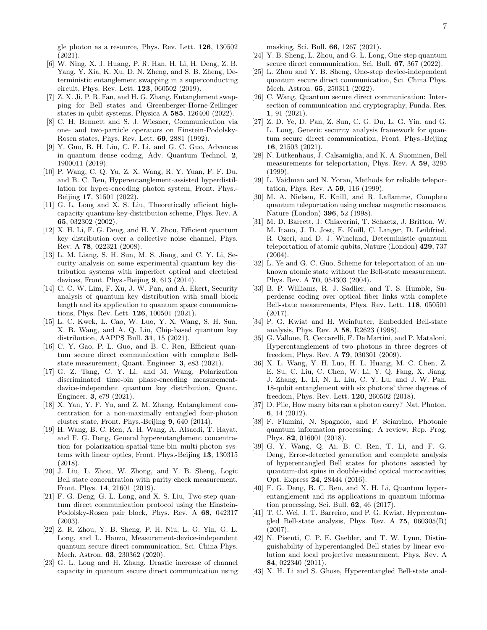gle photon as a resource, Phys. Rev. Lett. 126, 130502 (2021).

- <span id="page-6-0"></span>[6] W. Ning, X. J. Huang, P. R. Han, H. Li, H. Deng, Z. B. Yang, Y. Xia, K. Xu, D. N. Zheng, and S. B. Zheng, Deterministic entanglement swapping in a superconducting circuit, Phys. Rev. Lett. 123, 060502 (2019).
- <span id="page-6-1"></span>[7] Z. X. Ji, P. R. Fan, and H. G. Zhang, Entanglement swapping for Bell states and Greenberger-Horne-Zeilinger states in qubit systems, Physica A 585, 126400 (2022).
- <span id="page-6-2"></span>[8] C. H. Bennett and S. J. Wiesner, Communication via one- and two-particle operators on Einstein-Podolsky-Rosen states, Phys. Rev. Lett. 69, 2881 (1992).
- [9] Y. Guo, B. H. Liu, C. F. Li, and G. C. Guo, Advances in quantum dense coding, Adv. Quantum Technol. 2, 1900011 (2019).
- <span id="page-6-3"></span>[10] P. Wang, C. Q. Yu, Z. X. Wang, R. Y. Yuan, F. F. Du, and B. C. Ren, Hyperentanglement-assisted hyperdistillation for hyper-encoding photon system, Front. Phys.- Beijing 17, 31501 (2022).
- <span id="page-6-4"></span>[11] G. L. Long and X. S. Liu, Theoretically efficient highcapacity quantum-key-distribution scheme, Phys. Rev. A 65, 032302 (2002).
- [12] X. H. Li, F. G. Deng, and H. Y. Zhou, Efficient quantum key distribution over a collective noise channel, Phys. Rev. A 78, 022321 (2008).
- [13] L. M. Liang, S. H. Sun, M. S. Jiang, and C. Y. Li, Security analysis on some experimental quantum key distribution systems with imperfect optical and electrical devices, Front. Phys.-Beijing 9, 613 (2014).
- [14] C. C. W. Lim, F. Xu, J. W. Pan, and A. Ekert, Security analysis of quantum key distribution with small block length and its application to quantum space communications, Phys. Rev. Lett. 126, 100501 (2021).
- [15] L. C. Kwek, L. Cao, W. Luo, Y. X. Wang, S. H. Sun, X. B. Wang, and A. Q. Liu, Chip-based quantum key distribution, AAPPS Bull. 31, 15 (2021).
- [16] C. Y. Gao, P. L. Guo, and B. C. Ren, Efficient quantum secure direct communication with complete Bellstate measurement, Quant. Engineer. 3, e83 (2021).
- <span id="page-6-5"></span>[17] G. Z. Tang, C. Y. Li, and M. Wang, Polarization discriminated time-bin phase-encoding measurementdevice-independent quantum key distribution, Quant. Engineer. 3, e79 (2021).
- <span id="page-6-6"></span>[18] X. Yan, Y. F. Yu, and Z. M. Zhang, Entanglement concentration for a non-maximally entangled four-photon cluster state, Front. Phys.-Beijing 9, 640 (2014).
- [19] H. Wang, B. C. Ren, A. H. Wang, A. Alsaedi, T. Hayat, and F. G. Deng, General hyperentanglement concentration for polarization-spatial-time-bin multi-photon systems with linear optics, Front. Phys.-Beijing 13, 130315 (2018).
- <span id="page-6-7"></span>[20] J. Liu, L. Zhou, W. Zhong, and Y. B. Sheng, Logic Bell state concentration with parity check measurement, Front. Phys. 14, 21601 (2019).
- <span id="page-6-8"></span>[21] F. G. Deng, G. L. Long, and X. S. Liu, Two-step quantum direct communication protocol using the Einstein-Podolsky-Rosen pair block, Phys. Rev. A 68, 042317 (2003).
- [22] Z. R. Zhou, Y. B. Sheng, P. H. Niu, L. G. Yin, G. L. Long, and L. Hanzo, Measurement-device-independent quantum secure direct communication, Sci. China Phys. Mech. Astron. 63, 230362 (2020).
- [23] G. L. Long and H. Zhang, Drastic increase of channel capacity in quantum secure direct communication using

masking, Sci. Bull. 66, 1267 (2021).

- [24] Y. B. Sheng, L. Zhou, and G. L. Long, One-step quantum secure direct communication, Sci. Bull. **67**, 367 (2022).
- [25] L. Zhou and Y. B. Sheng, One-step device-independent quantum secure direct communication, Sci. China Phys. Mech. Astron. 65, 250311 (2022).
- [26] C. Wang, Quantum secure direct communication: Intersection of communication and cryptography, Funda. Res. 1, 91 (2021).
- <span id="page-6-9"></span>[27] Z. D. Ye, D. Pan, Z. Sun, C. G. Du, L. G. Yin, and G. L. Long, Generic security analysis framework for quantum secure direct communication, Front. Phys.-Beijing 16, 21503 (2021).
- <span id="page-6-10"></span>[28] N. Lütkenhaus, J. Calsamiglia, and K. A. Suominen, Bell measurements for teleportation, Phys. Rev. A 59, 3295 (1999).
- <span id="page-6-11"></span>[29] L. Vaidman and N. Yoran, Methods for reliable teleportation, Phys. Rev. A 59, 116 (1999).
- <span id="page-6-12"></span>[30] M. A. Nielsen, E. Knill, and R. Laflamme, Complete quantum teleportation using nuclear magnetic resonance, Nature (London) 396, 52 (1998).
- [31] M. D. Barrett, J. Chiaverini, T. Schaetz, J. Britton, W. M. Itano, J. D. Jost, E. Knill, C. Langer, D. Leibfried, R. Ozeri, and D. J. Wineland, Deterministic quantum teleportation of atomic qubits, Nature (London) 429, 737 (2004).
- <span id="page-6-13"></span>[32] L. Ye and G. C. Guo, Scheme for teleportation of an unknown atomic state without the Bell-state measurement, Phys. Rev. A 70, 054303 (2004).
- <span id="page-6-14"></span>[33] B. P. Williams, R. J. Sadlier, and T. S. Humble, Superdense coding over optical fiber links with complete Bell-state measurements, Phys. Rev. Lett. 118, 050501 (2017).
- <span id="page-6-15"></span>[34] P. G. Kwiat and H. Weinfurter, Embedded Bell-state analysis, Phys. Rev. A 58, R2623 (1998).
- <span id="page-6-16"></span>[35] G. Vallone, R. Ceccarelli, F. De Martini, and P. Mataloni, Hyperentanglement of two photons in three degrees of freedom, Phys. Rev. A 79, 030301 (2009).
- <span id="page-6-17"></span>[36] X. L. Wang, Y. H. Luo, H. L. Huang, M. C. Chen, Z. E. Su, C. Liu, C. Chen, W. Li, Y. Q. Fang, X. Jiang, J. Zhang, L. Li, N. L. Liu, C. Y. Lu, and J. W. Pan, 18-qubit entanglement with six photons' three degrees of freedom, Phys. Rev. Lett. 120, 260502 (2018).
- <span id="page-6-18"></span>[37] D. Pile, How many bits can a photon carry? Nat. Photon. 6, 14 (2012).
- <span id="page-6-19"></span>[38] F. Flamini, N. Spagnolo, and F. Sciarrino, Photonic quantum information processing: A review, Rep. Prog. Phys. 82, 016001 (2018).
- <span id="page-6-20"></span>[39] G. Y. Wang, Q. Ai, B. C. Ren, T. Li, and F. G. Deng, Error-detected generation and complete analysis of hyperentangled Bell states for photons assisted by quantum-dot spins in double-sided optical microcavities, Opt. Express 24, 28444 (2016).
- <span id="page-6-21"></span>[40] F. G. Deng, B. C. Ren, and X. H. Li, Quantum hyperentanglement and its applications in quantum information processing, Sci. Bull. 62, 46 (2017).
- <span id="page-6-22"></span>[41] T. C. Wei, J. T. Barreiro, and P. G. Kwiat, Hyperentangled Bell-state analysis, Phys. Rev. A  $75$ ,  $060305(R)$ (2007).
- <span id="page-6-23"></span>[42] N. Pisenti, C. P. E. Gaebler, and T. W. Lynn, Distinguishability of hyperentangled Bell states by linear evolution and local projective measurement, Phys. Rev. A 84, 022340 (2011).
- <span id="page-6-24"></span>[43] X. H. Li and S. Ghose, Hyperentangled Bell-state anal-